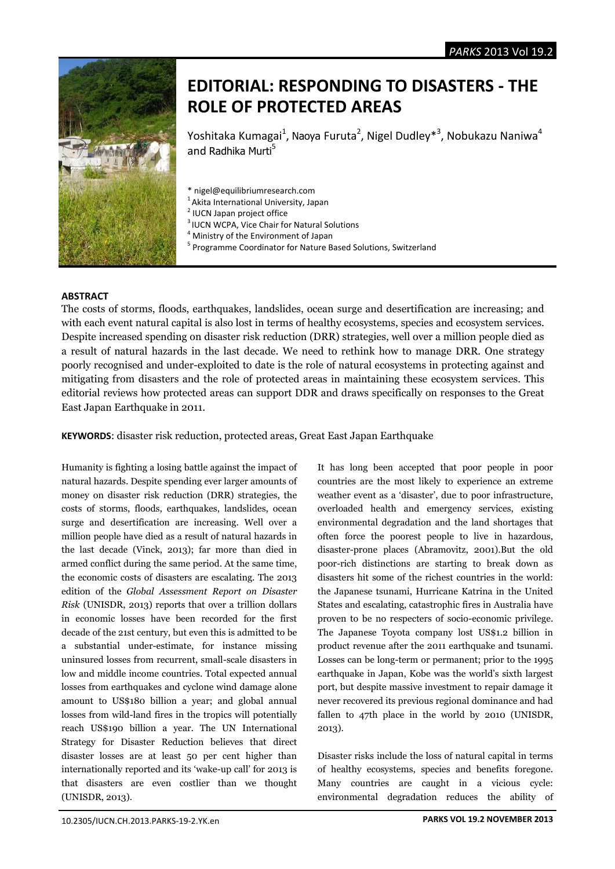

# **EDITORIAL: RESPONDING TO DISASTERS - THE ROLE OF PROTECTED AREAS**

Yoshitaka Kumagai<sup>1</sup>, Naoya Furuta<sup>2</sup>, Nigel Dudley<sup>\*3</sup>, Nobukazu Naniwa<sup>4</sup> and Radhika Murti<sup>5</sup>

- \* nigel@equilibriumresearch.com
- <sup>1</sup>Akita International University, Japan
- <sup>2</sup> IUCN Japan project office
- <sup>3</sup> IUCN WCPA, Vice Chair for Natural Solutions
- <sup>4</sup> Ministry of the Environment of Japan
- <sup>5</sup> Programme Coordinator for Nature Based Solutions, Switzerland

## **ABSTRACT**

The costs of storms, floods, earthquakes, landslides, ocean surge and desertification are increasing; and with each event natural capital is also lost in terms of healthy ecosystems, species and ecosystem services. Despite increased spending on disaster risk reduction (DRR) strategies, well over a million people died as a result of natural hazards in the last decade. We need to rethink how to manage DRR. One strategy poorly recognised and under-exploited to date is the role of natural ecosystems in protecting against and mitigating from disasters and the role of protected areas in maintaining these ecosystem services. This editorial reviews how protected areas can support DDR and draws specifically on responses to the Great East Japan Earthquake in 2011.

**KEYWORDS**: disaster risk reduction, protected areas, Great East Japan Earthquake

Humanity is fighting a losing battle against the impact of natural hazards. Despite spending ever larger amounts of money on disaster risk reduction (DRR) strategies, the costs of storms, floods, earthquakes, landslides, ocean surge and desertification are increasing. Well over a million people have died as a result of natural hazards in the last decade (Vinck, 2013); far more than died in armed conflict during the same period. At the same time, the economic costs of disasters are escalating. The 2013 edition of the *Global Assessment Report on Disaster Risk* (UNISDR, 2013) reports that over a trillion dollars in economic losses have been recorded for the first decade of the 21st century, but even this is admitted to be a substantial under-estimate, for instance missing uninsured losses from recurrent, small-scale disasters in low and middle income countries. Total expected annual losses from earthquakes and cyclone wind damage alone amount to US\$180 billion a year; and global annual losses from wild-land fires in the tropics will potentially reach US\$190 billion a year. The UN International Strategy for Disaster Reduction believes that direct disaster losses are at least 50 per cent higher than internationally reported and its 'wake-up call' for 2013 is that disasters are even costlier than we thought (UNISDR, 2013).

It has long been accepted that poor people in poor countries are the most likely to experience an extreme weather event as a 'disaster', due to poor infrastructure, overloaded health and emergency services, existing environmental degradation and the land shortages that often force the poorest people to live in hazardous, disaster-prone places (Abramovitz, 2001).But the old poor-rich distinctions are starting to break down as disasters hit some of the richest countries in the world: the Japanese tsunami, Hurricane Katrina in the United States and escalating, catastrophic fires in Australia have proven to be no respecters of socio-economic privilege. The Japanese Toyota company lost US\$1.2 billion in product revenue after the 2011 earthquake and tsunami. Losses can be long-term or permanent; prior to the 1995 earthquake in Japan, Kobe was the world's sixth largest port, but despite massive investment to repair damage it never recovered its previous regional dominance and had fallen to 47th place in the world by 2010 (UNISDR, 2013).

Disaster risks include the loss of natural capital in terms of healthy ecosystems, species and benefits foregone. Many countries are caught in a vicious cycle: environmental degradation reduces the ability of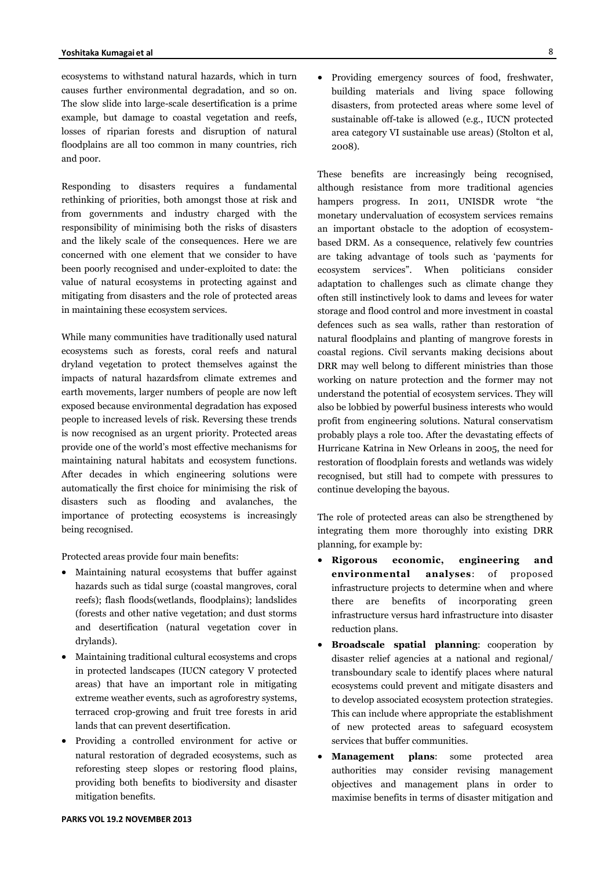ecosystems to withstand natural hazards, which in turn causes further environmental degradation, and so on. The slow slide into large-scale desertification is a prime example, but damage to coastal vegetation and reefs, losses of riparian forests and disruption of natural floodplains are all too common in many countries, rich and poor.

Responding to disasters requires a fundamental rethinking of priorities, both amongst those at risk and from governments and industry charged with the responsibility of minimising both the risks of disasters and the likely scale of the consequences. Here we are concerned with one element that we consider to have been poorly recognised and under-exploited to date: the value of natural ecosystems in protecting against and mitigating from disasters and the role of protected areas in maintaining these ecosystem services.

While many communities have traditionally used natural ecosystems such as forests, coral reefs and natural dryland vegetation to protect themselves against the impacts of natural hazardsfrom climate extremes and earth movements, larger numbers of people are now left exposed because environmental degradation has exposed people to increased levels of risk. Reversing these trends is now recognised as an urgent priority. Protected areas provide one of the world's most effective mechanisms for maintaining natural habitats and ecosystem functions. After decades in which engineering solutions were automatically the first choice for minimising the risk of disasters such as flooding and avalanches, the importance of protecting ecosystems is increasingly being recognised.

Protected areas provide four main benefits:

- Maintaining natural ecosystems that buffer against hazards such as tidal surge (coastal mangroves, coral reefs); flash floods(wetlands, floodplains); landslides (forests and other native vegetation; and dust storms and desertification (natural vegetation cover in drylands).
- Maintaining traditional cultural ecosystems and crops in protected landscapes (IUCN category V protected areas) that have an important role in mitigating extreme weather events, such as agroforestry systems, terraced crop-growing and fruit tree forests in arid lands that can prevent desertification.
- Providing a controlled environment for active or natural restoration of degraded ecosystems, such as reforesting steep slopes or restoring flood plains, providing both benefits to biodiversity and disaster mitigation benefits.

 Providing emergency sources of food, freshwater, building materials and living space following disasters, from protected areas where some level of sustainable off-take is allowed (e.g., IUCN protected area category VI sustainable use areas) (Stolton et al, 2008).

These benefits are increasingly being recognised, although resistance from more traditional agencies hampers progress. In 2011, UNISDR wrote "the monetary undervaluation of ecosystem services remains an important obstacle to the adoption of ecosystembased DRM. As a consequence, relatively few countries are taking advantage of tools such as 'payments for ecosystem services". When politicians consider adaptation to challenges such as climate change they often still instinctively look to dams and levees for water storage and flood control and more investment in coastal defences such as sea walls, rather than restoration of natural floodplains and planting of mangrove forests in coastal regions. Civil servants making decisions about DRR may well belong to different ministries than those working on nature protection and the former may not understand the potential of ecosystem services. They will also be lobbied by powerful business interests who would profit from engineering solutions. Natural conservatism probably plays a role too. After the devastating effects of Hurricane Katrina in New Orleans in 2005, the need for restoration of floodplain forests and wetlands was widely recognised, but still had to compete with pressures to continue developing the bayous.

The role of protected areas can also be strengthened by integrating them more thoroughly into existing DRR planning, for example by:

- **Rigorous economic, engineering and environmental analyses**: of proposed infrastructure projects to determine when and where there are benefits of incorporating green infrastructure versus hard infrastructure into disaster reduction plans.
- **Broadscale spatial planning**: cooperation by disaster relief agencies at a national and regional/ transboundary scale to identify places where natural ecosystems could prevent and mitigate disasters and to develop associated ecosystem protection strategies. This can include where appropriate the establishment of new protected areas to safeguard ecosystem services that buffer communities.
- **Management plans**: some protected area authorities may consider revising management objectives and management plans in order to maximise benefits in terms of disaster mitigation and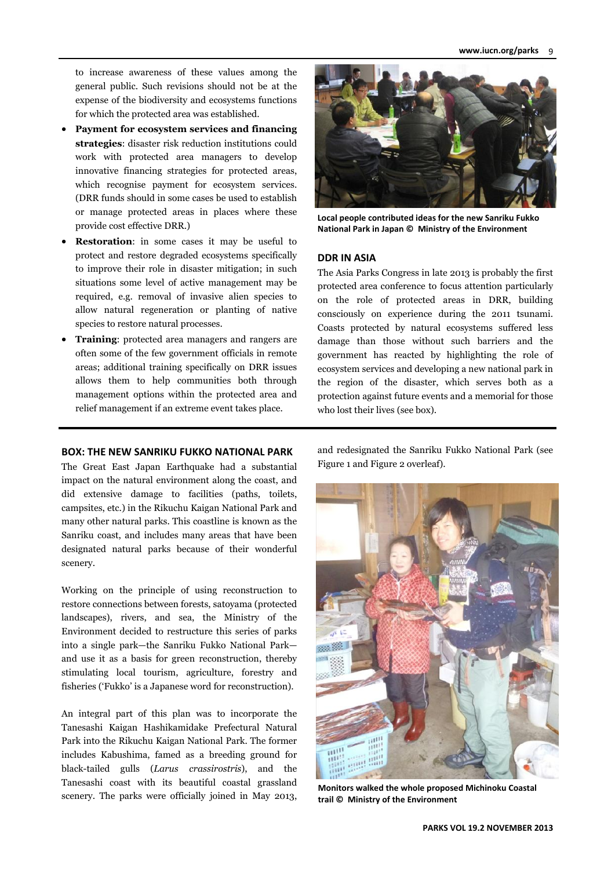to increase awareness of these values among the general public. Such revisions should not be at the expense of the biodiversity and ecosystems functions for which the protected area was established.

- **Payment for ecosystem services and financing strategies**: disaster risk reduction institutions could work with protected area managers to develop innovative financing strategies for protected areas, which recognise payment for ecosystem services. (DRR funds should in some cases be used to establish or manage protected areas in places where these provide cost effective DRR.)
- **Restoration**: in some cases it may be useful to protect and restore degraded ecosystems specifically to improve their role in disaster mitigation; in such situations some level of active management may be required, e.g. removal of invasive alien species to allow natural regeneration or planting of native species to restore natural processes.
- **Training**: protected area managers and rangers are often some of the few government officials in remote areas; additional training specifically on DRR issues allows them to help communities both through management options within the protected area and relief management if an extreme event takes place.

#### **BOX: THE NEW SANRIKU FUKKO NATIONAL PARK**

The Great East Japan Earthquake had a substantial impact on the natural environment along the coast, and did extensive damage to facilities (paths, toilets, campsites, etc.) in the Rikuchu Kaigan National Park and many other natural parks. This coastline is known as the Sanriku coast, and includes many areas that have been designated natural parks because of their wonderful scenery.

Working on the principle of using reconstruction to restore connections between forests, satoyama (protected landscapes), rivers, and sea, the Ministry of the Environment decided to restructure this series of parks into a single park—the Sanriku Fukko National Park and use it as a basis for green reconstruction, thereby stimulating local tourism, agriculture, forestry and fisheries ('Fukko' is a Japanese word for reconstruction).

An integral part of this plan was to incorporate the Tanesashi Kaigan Hashikamidake Prefectural Natural Park into the Rikuchu Kaigan National Park. The former includes Kabushima, famed as a breeding ground for black-tailed gulls (*Larus crassirostris*), and the Tanesashi coast with its beautiful coastal grassland scenery. The parks were officially joined in May 2013,



**Local people contributed ideas for the new Sanriku Fukko National Park in Japan © Ministry of the Environment**

#### **DDR IN ASIA**

The Asia Parks Congress in late 2013 is probably the first protected area conference to focus attention particularly on the role of protected areas in DRR, building consciously on experience during the 2011 tsunami. Coasts protected by natural ecosystems suffered less damage than those without such barriers and the government has reacted by highlighting the role of ecosystem services and developing a new national park in the region of the disaster, which serves both as a protection against future events and a memorial for those who lost their lives (see box).

and redesignated the Sanriku Fukko National Park (see Figure 1 and Figure 2 overleaf).



**Monitors walked the whole proposed Michinoku Coastal trail © Ministry of the Environment**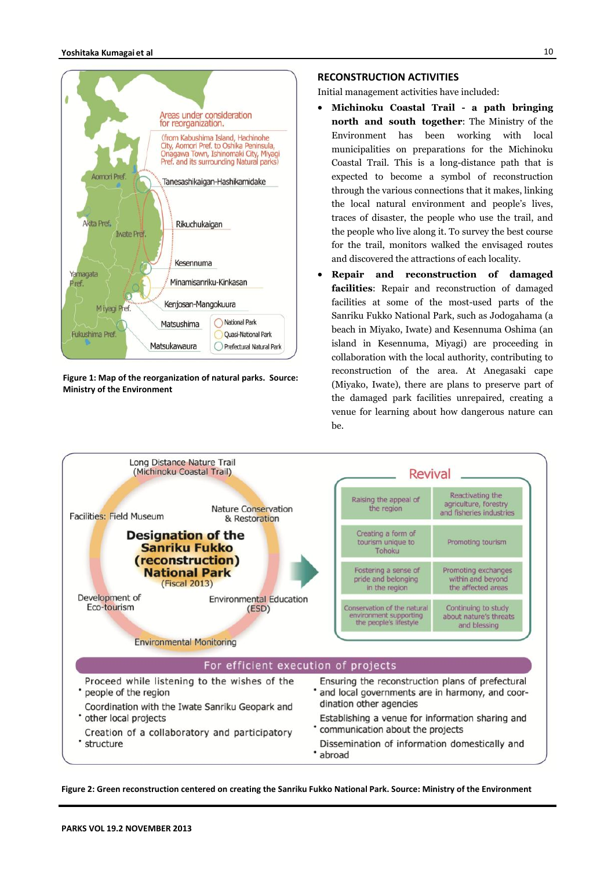

**Figure 1: Map of the reorganization of natural parks. Source: Ministry of the Environment**

#### **RECONSTRUCTION ACTIVITIES**

Initial management activities have included:

- **Michinoku Coastal Trail - a path bringing north and south together**: The Ministry of the Environment has been working with local municipalities on preparations for the Michinoku Coastal Trail. This is a long-distance path that is expected to become a symbol of reconstruction through the various connections that it makes, linking the local natural environment and people's lives, traces of disaster, the people who use the trail, and the people who live along it. To survey the best course for the trail, monitors walked the envisaged routes and discovered the attractions of each locality.
- **Repair and reconstruction of damaged facilities**: Repair and reconstruction of damaged facilities at some of the most-used parts of the Sanriku Fukko National Park, such as Jodogahama (a beach in Miyako, Iwate) and Kesennuma Oshima (an island in Kesennuma, Miyagi) are proceeding in collaboration with the local authority, contributing to reconstruction of the area. At Anegasaki cape (Miyako, Iwate), there are plans to preserve part of the damaged park facilities unrepaired, creating a venue for learning about how dangerous nature can be.



**Figure 2: Green reconstruction centered on creating the Sanriku Fukko National Park. Source: Ministry of the Environment**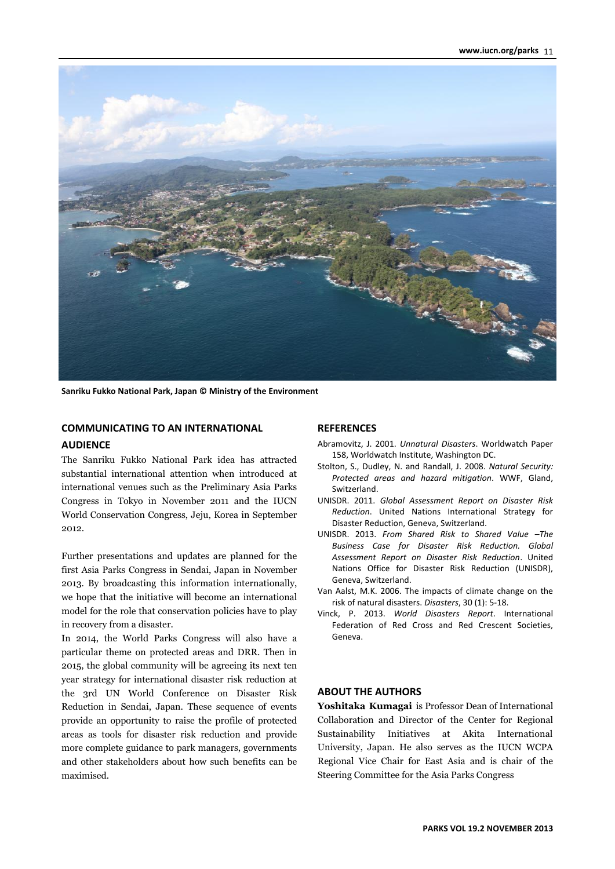

**Sanriku Fukko National Park, Japan © Ministry of the Environment**

## **COMMUNICATING TO AN INTERNATIONAL**

#### **AUDIENCE**

The Sanriku Fukko National Park idea has attracted substantial international attention when introduced at international venues such as the Preliminary Asia Parks Congress in Tokyo in November 2011 and the IUCN World Conservation Congress, Jeju, Korea in September 2012.

Further presentations and updates are planned for the first Asia Parks Congress in Sendai, Japan in November 2013. By broadcasting this information internationally, we hope that the initiative will become an international model for the role that conservation policies have to play in recovery from a disaster.

In 2014, the World Parks Congress will also have a particular theme on protected areas and DRR. Then in 2015, the global community will be agreeing its next ten year strategy for international disaster risk reduction at the 3rd UN World Conference on Disaster Risk Reduction in Sendai, Japan. These sequence of events provide an opportunity to raise the profile of protected areas as tools for disaster risk reduction and provide more complete guidance to park managers, governments and other stakeholders about how such benefits can be maximised.

#### **REFERENCES**

- Abramovitz, J. 2001. *Unnatural Disasters*. Worldwatch Paper 158, Worldwatch Institute, Washington DC.
- Stolton, S., Dudley, N. and Randall, J. 2008. *Natural Security: Protected areas and hazard mitigation*. WWF, Gland, Switzerland.
- UNISDR. 2011. *Global Assessment Report on Disaster Risk Reduction*. United Nations International Strategy for Disaster Reduction, Geneva, Switzerland.
- UNISDR. 2013. *From Shared Risk to Shared Value –The Business Case for Disaster Risk Reduction. Global Assessment Report on Disaster Risk Reduction*. United Nations Office for Disaster Risk Reduction (UNISDR), Geneva, Switzerland.
- Van Aalst, M.K. 2006. The impacts of climate change on the risk of natural disasters. *Disasters*, 30 (1): 5-18.
- Vinck, P. 2013. *World Disasters Report*. International Federation of Red Cross and Red Crescent Societies, Geneva.

## **ABOUT THE AUTHORS**

**Yoshitaka Kumagai** is Professor Dean of International Collaboration and Director of the Center for Regional Sustainability Initiatives at Akita International University, Japan. He also serves as the IUCN WCPA Regional Vice Chair for East Asia and is chair of the Steering Committee for the Asia Parks Congress